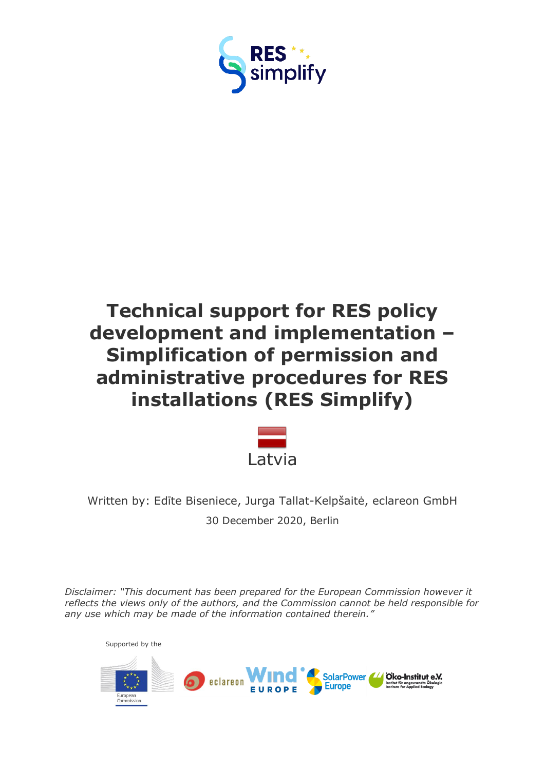

# **Technical support for RES policy development and implementation – Simplification of permission and administrative procedures for RES installations (RES Simplify)**



Written by: Edīte Biseniece, Jurga Tallat-Kelpšaitė, eclareon GmbH 30 December 2020, Berlin

*Disclaimer: "This document has been prepared for the European Commission however it reflects the views only of the authors, and the Commission cannot be held responsible for any use which may be made of the information contained therein."*

Supported by the

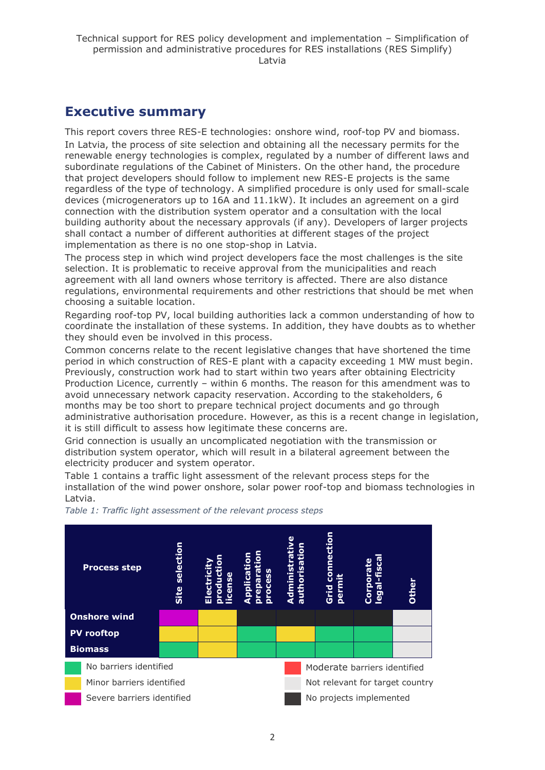## <span id="page-1-0"></span>**Executive summary**

This report covers three RES-E technologies: onshore wind, roof-top PV and biomass. In Latvia, the process of site selection and obtaining all the necessary permits for the renewable energy technologies is complex, regulated by a number of different laws and subordinate regulations of the Cabinet of Ministers. On the other hand, the procedure that project developers should follow to implement new RES-E projects is the same regardless of the type of technology. A simplified procedure is only used for small-scale devices (microgenerators up to 16A and 11.1kW). It includes an agreement on a gird connection with the distribution system operator and a consultation with the local building authority about the necessary approvals (if any). Developers of larger projects shall contact a number of different authorities at different stages of the project implementation as there is no one stop-shop in Latvia.

The process step in which wind project developers face the most challenges is the site selection. It is problematic to receive approval from the municipalities and reach agreement with all land owners whose territory is affected. There are also distance regulations, environmental requirements and other restrictions that should be met when choosing a suitable location.

Regarding roof-top PV, local building authorities lack a common understanding of how to coordinate the installation of these systems. In addition, they have doubts as to whether they should even be involved in this process.

Common concerns relate to the recent legislative changes that have shortened the time period in which construction of RES-E plant with a capacity exceeding 1 MW must begin. Previously, construction work had to start within two years after obtaining Electricity Production Licence, currently – within 6 months. The reason for this amendment was to avoid unnecessary network capacity reservation. According to the stakeholders, 6 months may be too short to prepare technical project documents and go through administrative authorisation procedure. However, as this is a recent change in legislation, it is still difficult to assess how legitimate these concerns are.

Grid connection is usually an uncomplicated negotiation with the transmission or distribution system operator, which will result in a bilateral agreement between the electricity producer and system operator.

Table 1 contains a traffic light assessment of the relevant process steps for the installation of the wind power onshore, solar power roof-top and biomass technologies in Latvia.



*Table 1: Traffic light assessment of the relevant process steps*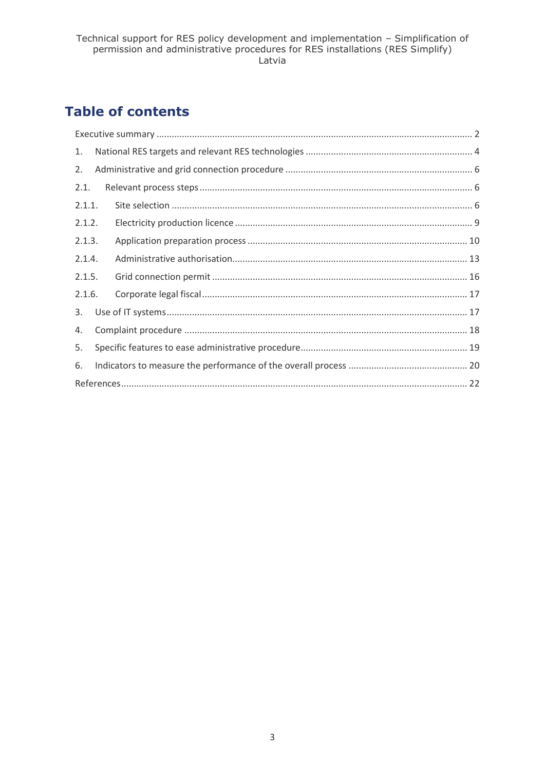## **Table of contents**

| 1.     |  |  |  |  |  |  |
|--------|--|--|--|--|--|--|
| 2.     |  |  |  |  |  |  |
| 2.1.   |  |  |  |  |  |  |
| 2.1.1. |  |  |  |  |  |  |
| 2.1.2. |  |  |  |  |  |  |
| 2.1.3. |  |  |  |  |  |  |
| 2.1.4. |  |  |  |  |  |  |
| 2.1.5. |  |  |  |  |  |  |
| 2.1.6. |  |  |  |  |  |  |
| 3.     |  |  |  |  |  |  |
| 4.     |  |  |  |  |  |  |
| 5.     |  |  |  |  |  |  |
| 6.     |  |  |  |  |  |  |
|        |  |  |  |  |  |  |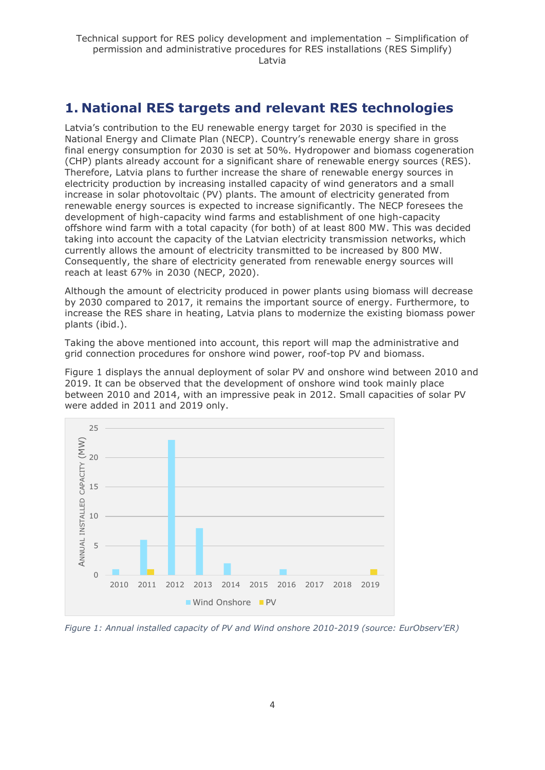## <span id="page-3-0"></span>**1. National RES targets and relevant RES technologies**

Latvia's contribution to the EU renewable energy target for 2030 is specified in the National Energy and Climate Plan (NECP). Country's renewable energy share in gross final energy consumption for 2030 is set at 50%. Hydropower and biomass cogeneration (CHP) plants already account for a significant share of renewable energy sources (RES). Therefore, Latvia plans to further increase the share of renewable energy sources in electricity production by increasing installed capacity of wind generators and a small increase in solar photovoltaic (PV) plants. The amount of electricity generated from renewable energy sources is expected to increase significantly. The NECP foresees the development of high-capacity wind farms and establishment of one high-capacity offshore wind farm with a total capacity (for both) of at least 800 MW. This was decided taking into account the capacity of the Latvian electricity transmission networks, which currently allows the amount of electricity transmitted to be increased by 800 MW. Consequently, the share of electricity generated from renewable energy sources will reach at least 67% in 2030 (NECP, 2020).

Although the amount of electricity produced in power plants using biomass will decrease by 2030 compared to 2017, it remains the important source of energy. Furthermore, to increase the RES share in heating, Latvia plans to modernize the existing biomass power plants (ibid.).

Taking the above mentioned into account, this report will map the administrative and grid connection procedures for onshore wind power, roof-top PV and biomass.

Figure 1 displays the annual deployment of solar PV and onshore wind between 2010 and 2019. It can be observed that the development of onshore wind took mainly place between 2010 and 2014, with an impressive peak in 2012. Small capacities of solar PV were added in 2011 and 2019 only.



*Figure 1: Annual installed capacity of PV and Wind onshore 2010-2019 (source: EurObserv'ER)*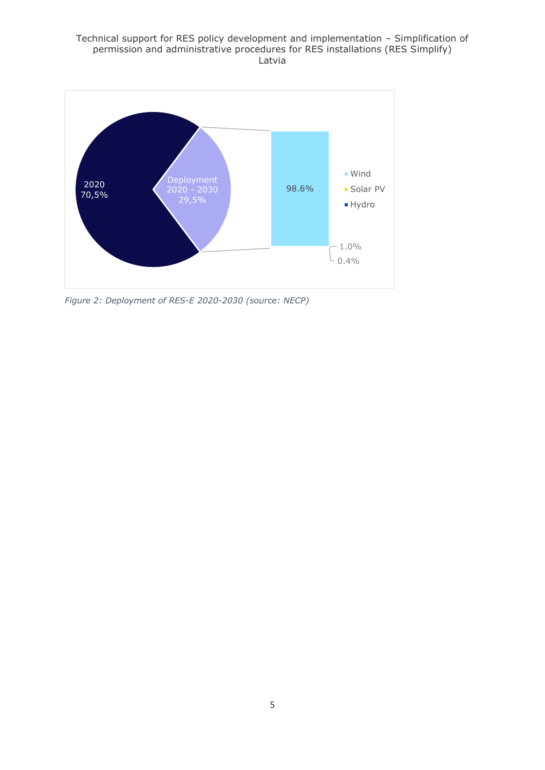#### Technical support for RES policy development and implementation – Simplification of permission and administrative procedures for RES installations (RES Simplify) Latvia



*Figure 2: Deployment of RES-E 2020-2030 (source: NECP)*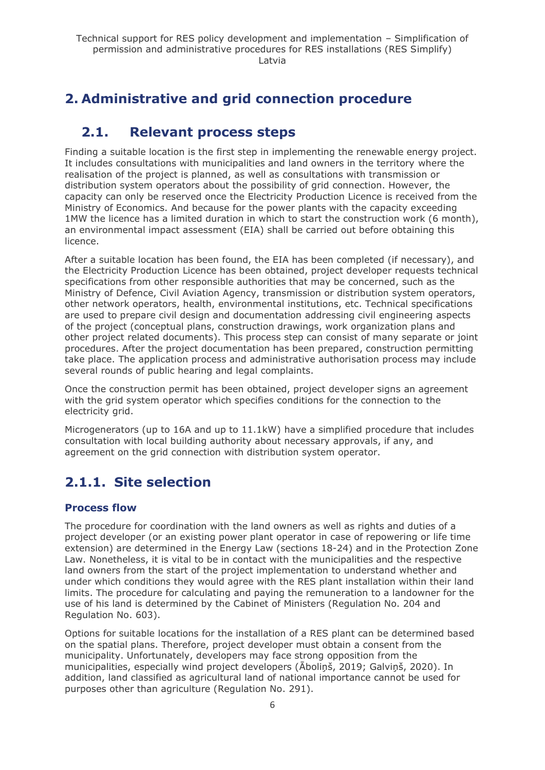## <span id="page-5-0"></span>**2. Administrative and grid connection procedure**

## <span id="page-5-1"></span>**2.1. Relevant process steps**

Finding a suitable location is the first step in implementing the renewable energy project. It includes consultations with municipalities and land owners in the territory where the realisation of the project is planned, as well as consultations with transmission or distribution system operators about the possibility of grid connection. However, the capacity can only be reserved once the Electricity Production Licence is received from the Ministry of Economics. And because for the power plants with the capacity exceeding 1MW the licence has a limited duration in which to start the construction work (6 month), an environmental impact assessment (EIA) shall be carried out before obtaining this licence.

After a suitable location has been found, the EIA has been completed (if necessary), and the Electricity Production Licence has been obtained, project developer requests technical specifications from other responsible authorities that may be concerned, such as the Ministry of Defence, Civil Aviation Agency, transmission or distribution system operators, other network operators, health, environmental institutions, etc. Technical specifications are used to prepare civil design and documentation addressing civil engineering aspects of the project (conceptual plans, construction drawings, work organization plans and other project related documents). This process step can consist of many separate or joint procedures. After the project documentation has been prepared, construction permitting take place. The application process and administrative authorisation process may include several rounds of public hearing and legal complaints.

Once the construction permit has been obtained, project developer signs an agreement with the grid system operator which specifies conditions for the connection to the electricity grid.

Microgenerators (up to 16A and up to 11.1kW) have a simplified procedure that includes consultation with local building authority about necessary approvals, if any, and agreement on the grid connection with distribution system operator.

## <span id="page-5-2"></span>**2.1.1. Site selection**

### **Process flow**

The procedure for coordination with the land owners as well as rights and duties of a project developer (or an existing power plant operator in case of repowering or life time extension) are determined in the Energy Law (sections 18-24) and in the Protection Zone Law. Nonetheless, it is vital to be in contact with the municipalities and the respective land owners from the start of the project implementation to understand whether and under which conditions they would agree with the RES plant installation within their land limits. The procedure for calculating and paying the remuneration to a landowner for the use of his land is determined by the Cabinet of Ministers (Regulation No. 204 and Regulation No. 603).

Options for suitable locations for the installation of a RES plant can be determined based on the spatial plans. Therefore, project developer must obtain a consent from the municipality. Unfortunately, developers may face strong opposition from the municipalities, especially wind project developers (Āboliņš, 2019; Galviņš, 2020). In addition, land classified as agricultural land of national importance cannot be used for purposes other than agriculture (Regulation No. 291).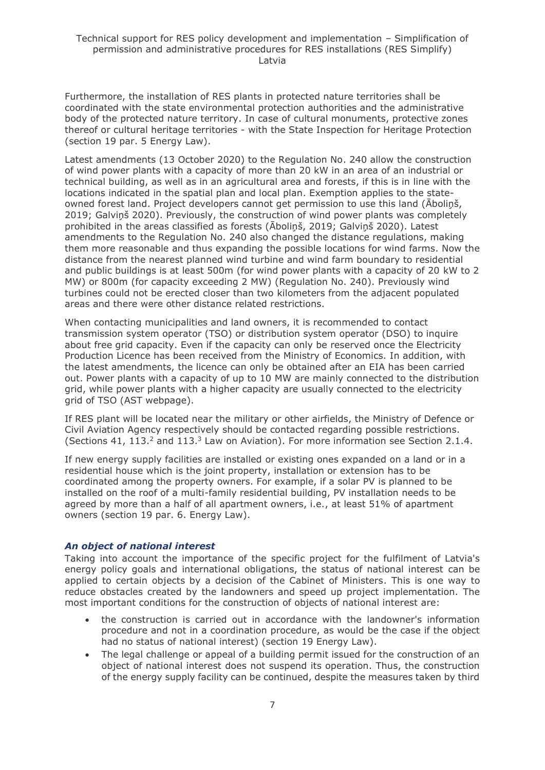Furthermore, the installation of RES plants in protected nature territories shall be coordinated with the state environmental protection authorities and the administrative body of the protected nature territory. In case of cultural monuments, protective zones thereof or cultural heritage territories - with the State Inspection for Heritage Protection (section 19 par. 5 Energy Law).

Latest amendments (13 October 2020) to the Regulation No. 240 allow the construction of wind power plants with a capacity of more than 20 kW in an area of an industrial or technical building, as well as in an agricultural area and forests, if this is in line with the locations indicated in the spatial plan and local plan. Exemption applies to the stateowned forest land. Project developers cannot get permission to use this land (Āboliņš, 2019; Galviņš 2020). Previously, the construction of wind power plants was completely prohibited in the areas classified as forests (Āboliņš, 2019; Galviņš 2020). Latest amendments to the Regulation No. 240 also changed the distance regulations, making them more reasonable and thus expanding the possible locations for wind farms. Now the distance from the nearest planned wind turbine and wind farm boundary to residential and public buildings is at least 500m (for wind power plants with a capacity of 20 kW to 2 MW) or 800m (for capacity exceeding 2 MW) (Regulation No. 240). Previously wind turbines could not be erected closer than two kilometers from the adjacent populated areas and there were other distance related restrictions.

When contacting municipalities and land owners, it is recommended to contact transmission system operator (TSO) or distribution system operator (DSO) to inquire about free grid capacity. Even if the capacity can only be reserved once the Electricity Production Licence has been received from the Ministry of Economics. In addition, with the latest amendments, the licence can only be obtained after an EIA has been carried out. Power plants with a capacity of up to 10 MW are mainly connected to the distribution grid, while power plants with a higher capacity are usually connected to the electricity grid of TSO (AST webpage).

If RES plant will be located near the military or other airfields, the Ministry of Defence or Civil Aviation Agency respectively should be contacted regarding possible restrictions. (Sections 41, 113.<sup>2</sup> and 113.<sup>3</sup> Law on Aviation). For more information see Section 2.1.4.

If new energy supply facilities are installed or existing ones expanded on a land or in a residential house which is the joint property, installation or extension has to be coordinated among the property owners. For example, if a solar PV is planned to be installed on the roof of a multi-family residential building, PV installation needs to be agreed by more than a half of all apartment owners, i.e., at least 51% of apartment owners (section 19 par. 6. Energy Law).

#### *An object of national interest*

Taking into account the importance of the specific project for the fulfilment of Latvia's energy policy goals and international obligations, the status of national interest can be applied to certain objects by a decision of the Cabinet of Ministers. This is one way to reduce obstacles created by the landowners and speed up project implementation. The most important conditions for the construction of objects of national interest are:

- the construction is carried out in accordance with the landowner's information procedure and not in a coordination procedure, as would be the case if the object had no status of national interest) (section 19 Energy Law).
- The legal challenge or appeal of a building permit issued for the construction of an object of national interest does not suspend its operation. Thus, the construction of the energy supply facility can be continued, despite the measures taken by third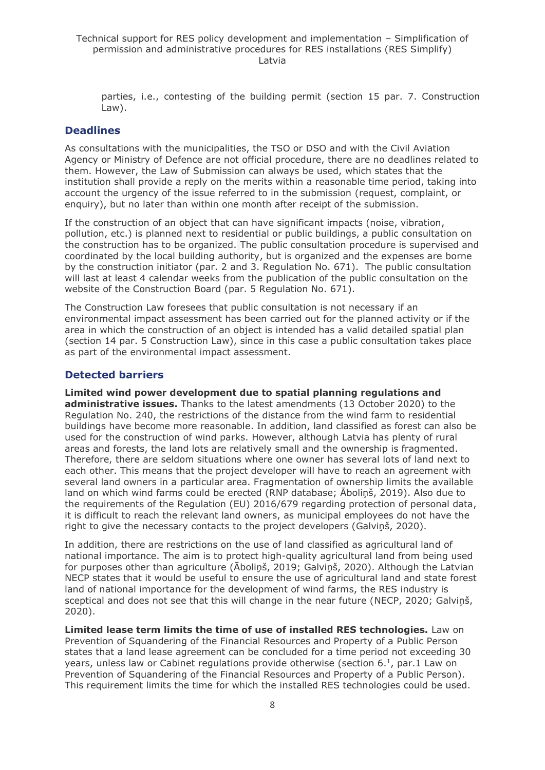parties, i.e., contesting of the building permit (section 15 par. 7. Construction Law).

#### **Deadlines**

As consultations with the municipalities, the TSO or DSO and with the Civil Aviation Agency or Ministry of Defence are not official procedure, there are no deadlines related to them. However, the Law of Submission can always be used, which states that the institution shall provide a reply on the merits within a reasonable time period, taking into account the urgency of the issue referred to in the submission (request, complaint, or enquiry), but no later than within one month after receipt of the submission.

If the construction of an object that can have significant impacts (noise, vibration, pollution, etc.) is planned next to residential or public buildings, a public consultation on the construction has to be organized. The public consultation procedure is supervised and coordinated by the local building authority, but is organized and the expenses are borne by the construction initiator (par. 2 and 3. Regulation No. 671). The public consultation will last at least 4 calendar weeks from the publication of the public consultation on the website of the Construction Board (par. 5 Regulation No. 671).

The Construction Law foresees that public consultation is not necessary if an environmental impact assessment has been carried out for the planned activity or if the area in which the construction of an object is intended has a valid detailed spatial plan (section 14 par. 5 Construction Law), since in this case a public consultation takes place as part of the environmental impact assessment.

#### **Detected barriers**

**Limited wind power development due to spatial planning regulations and administrative issues.** Thanks to the latest amendments (13 October 2020) to the Regulation No. 240, the restrictions of the distance from the wind farm to residential buildings have become more reasonable. In addition, land classified as forest can also be used for the construction of wind parks. However, although Latvia has plenty of rural areas and forests, the land lots are relatively small and the ownership is fragmented. Therefore, there are seldom situations where one owner has several lots of land next to each other. This means that the project developer will have to reach an agreement with several land owners in a particular area. Fragmentation of ownership limits the available land on which wind farms could be erected (RNP database; Āboliņš, 2019). Also due to the requirements of the Regulation (EU) 2016/679 regarding protection of personal data, it is difficult to reach the relevant land owners, as municipal employees do not have the right to give the necessary contacts to the project developers (Galviņš, 2020).

In addition, there are restrictions on the use of land classified as agricultural land of national importance. The aim is to protect high-quality agricultural land from being used for purposes other than agriculture (Āboliņš, 2019; Galviņš, 2020). Although the Latvian NECP states that it would be useful to ensure the use of agricultural land and state forest land of national importance for the development of wind farms, the RES industry is sceptical and does not see that this will change in the near future (NECP, 2020; Galviņš, 2020).

**Limited lease term limits the time of use of installed RES technologies.** Law on Prevention of Squandering of the Financial Resources and Property of a Public Person states that a land lease agreement can be concluded for a time period not exceeding 30 years, unless law or Cabinet regulations provide otherwise (section  $6<sup>1</sup>$ , par. 1 Law on Prevention of Squandering of the Financial Resources and Property of a Public Person). This requirement limits the time for which the installed RES technologies could be used.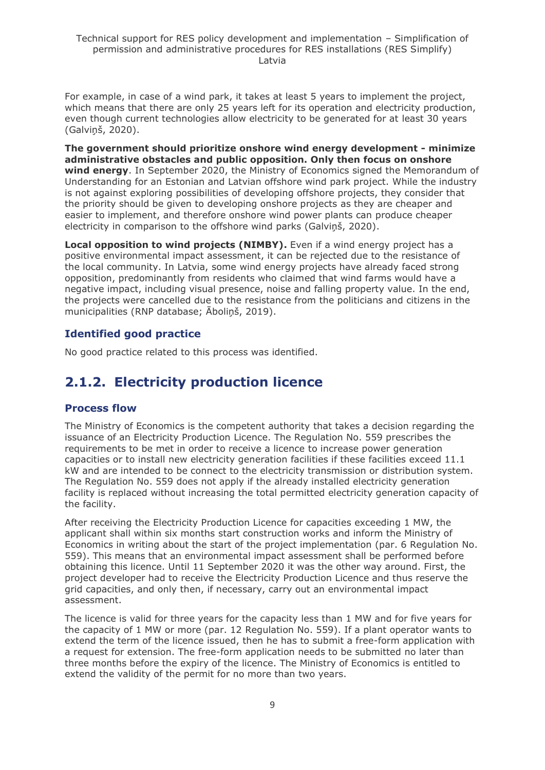For example, in case of a wind park, it takes at least 5 years to implement the project, which means that there are only 25 years left for its operation and electricity production, even though current technologies allow electricity to be generated for at least 30 years (Galviņš, 2020).

**The government should prioritize onshore wind energy development - minimize administrative obstacles and public opposition. Only then focus on onshore wind energy**. In September 2020, the Ministry of Economics signed the Memorandum of Understanding for an Estonian and Latvian offshore wind park project. While the industry is not against exploring possibilities of developing offshore projects, they consider that the priority should be given to developing onshore projects as they are cheaper and easier to implement, and therefore onshore wind power plants can produce cheaper electricity in comparison to the offshore wind parks (Galviņš, 2020).

**Local opposition to wind projects (NIMBY).** Even if a wind energy project has a positive environmental impact assessment, it can be rejected due to the resistance of the local community. In Latvia, some wind energy projects have already faced strong opposition, predominantly from residents who claimed that wind farms would have a negative impact, including visual presence, noise and falling property value. In the end, the projects were cancelled due to the resistance from the politicians and citizens in the municipalities (RNP database; Āboliņš, 2019).

### **Identified good practice**

No good practice related to this process was identified.

## <span id="page-8-0"></span>**2.1.2. Electricity production licence**

### **Process flow**

The Ministry of Economics is the competent authority that takes a decision regarding the issuance of an Electricity Production Licence. The Regulation No. 559 prescribes the requirements to be met in order to receive a licence to increase power generation capacities or to install new electricity generation facilities if these facilities exceed 11.1 kW and are intended to be connect to the electricity transmission or distribution system. The Regulation No. 559 does not apply if the already installed electricity generation facility is replaced without increasing the total permitted electricity generation capacity of the facility.

After receiving the Electricity Production Licence for capacities exceeding 1 MW, the applicant shall within six months start construction works and inform the Ministry of Economics in writing about the start of the project implementation (par. 6 Regulation No. 559). This means that an environmental impact assessment shall be performed before obtaining this licence. Until 11 September 2020 it was the other way around. First, the project developer had to receive the Electricity Production Licence and thus reserve the grid capacities, and only then, if necessary, carry out an environmental impact assessment.

The licence is valid for three years for the capacity less than 1 MW and for five years for the capacity of 1 MW or more (par. 12 Regulation No. 559). If a plant operator wants to extend the term of the licence issued, then he has to submit a free-form application with a request for extension. The free-form application needs to be submitted no later than three months before the expiry of the licence. The Ministry of Economics is entitled to extend the validity of the permit for no more than two years.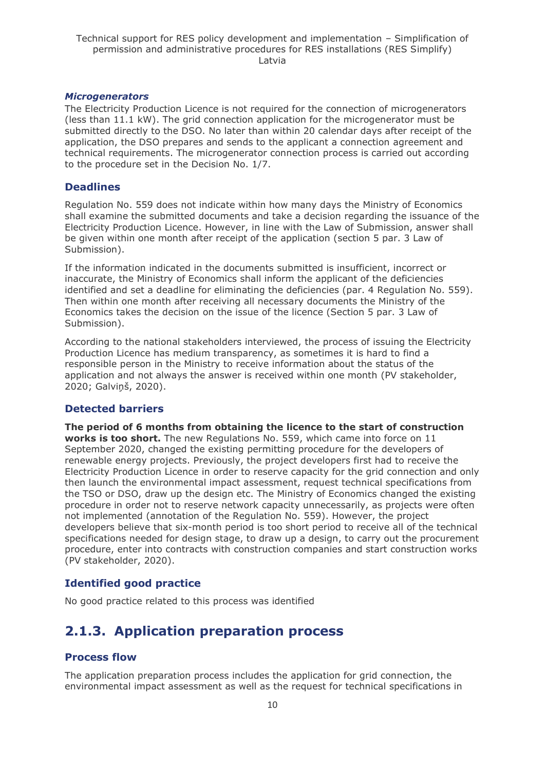#### *Microgenerators*

The Electricity Production Licence is not required for the connection of microgenerators (less than 11.1 kW). The grid connection application for the microgenerator must be submitted directly to the DSO. No later than within 20 calendar days after receipt of the application, the DSO prepares and sends to the applicant a connection agreement and technical requirements. The microgenerator connection process is carried out according to the procedure set in the Decision No. 1/7.

#### **Deadlines**

Regulation No. 559 does not indicate within how many days the Ministry of Economics shall examine the submitted documents and take a decision regarding the issuance of the Electricity Production Licence. However, in line with the Law of Submission, answer shall be given within one month after receipt of the application (section 5 par. 3 Law of Submission).

If the information indicated in the documents submitted is insufficient, incorrect or inaccurate, the Ministry of Economics shall inform the applicant of the deficiencies identified and set a deadline for eliminating the deficiencies (par. 4 Regulation No. 559). Then within one month after receiving all necessary documents the Ministry of the Economics takes the decision on the issue of the licence (Section 5 par. 3 Law of Submission).

According to the national stakeholders interviewed, the process of issuing the Electricity Production Licence has medium transparency, as sometimes it is hard to find a responsible person in the Ministry to receive information about the status of the application and not always the answer is received within one month (PV stakeholder, 2020; Galviņš, 2020).

#### **Detected barriers**

**The period of 6 months from obtaining the licence to the start of construction works is too short.** The new Regulations No. 559, which came into force on 11 September 2020, changed the existing permitting procedure for the developers of renewable energy projects. Previously, the project developers first had to receive the Electricity Production Licence in order to reserve capacity for the grid connection and only then launch the environmental impact assessment, request technical specifications from the TSO or DSO, draw up the design etc. The Ministry of Economics changed the existing procedure in order not to reserve network capacity unnecessarily, as projects were often not implemented (annotation of the Regulation No. 559). However, the project developers believe that six-month period is too short period to receive all of the technical specifications needed for design stage, to draw up a design, to carry out the procurement procedure, enter into contracts with construction companies and start construction works (PV stakeholder, 2020).

#### **Identified good practice**

No good practice related to this process was identified

## <span id="page-9-0"></span>**2.1.3. Application preparation process**

#### **Process flow**

The application preparation process includes the application for grid connection, the environmental impact assessment as well as the request for technical specifications in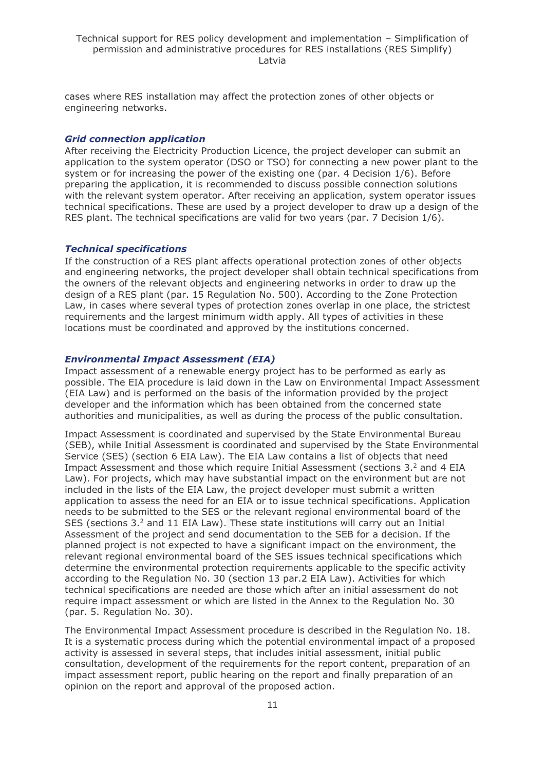cases where RES installation may affect the protection zones of other objects or engineering networks.

#### *Grid connection application*

After receiving the Electricity Production Licence, the project developer can submit an application to the system operator (DSO or TSO) for connecting a new power plant to the system or for increasing the power of the existing one (par. 4 Decision 1/6). Before preparing the application, it is recommended to discuss possible connection solutions with the relevant system operator. After receiving an application, system operator issues technical specifications. These are used by a project developer to draw up a design of the RES plant. The technical specifications are valid for two years (par. 7 Decision 1/6).

#### *Technical specifications*

If the construction of a RES plant affects operational protection zones of other objects and engineering networks, the project developer shall obtain technical specifications from the owners of the relevant objects and engineering networks in order to draw up the design of a RES plant (par. 15 Regulation No. 500). According to the Zone Protection Law, in cases where several types of protection zones overlap in one place, the strictest requirements and the largest minimum width apply. All types of activities in these locations must be coordinated and approved by the institutions concerned.

#### *Environmental Impact Assessment (EIA)*

Impact assessment of a renewable energy project has to be performed as early as possible. The EIA procedure is laid down in the Law on Environmental Impact Assessment (EIA Law) and is performed on the basis of the information provided by the project developer and the information which has been obtained from the concerned state authorities and municipalities, as well as during the process of the public consultation.

Impact Assessment is coordinated and supervised by the State Environmental Bureau (SEB), while Initial Assessment is coordinated and supervised by the State Environmental Service (SES) (section 6 EIA Law). The EIA Law contains a list of objects that need Impact Assessment and those which require Initial Assessment (sections 3.<sup>2</sup> and 4 EIA Law). For projects, which may have substantial impact on the environment but are not included in the lists of the EIA Law, the project developer must submit a written application to assess the need for an EIA or to issue technical specifications. Application needs to be submitted to the SES or the relevant regional environmental board of the SES (sections  $3.2$  and 11 EIA Law). These state institutions will carry out an Initial Assessment of the project and send documentation to the SEB for a decision. If the planned project is not expected to have a significant impact on the environment, the relevant regional environmental board of the SES issues technical specifications which determine the environmental protection requirements applicable to the specific activity according to the Regulation No. 30 (section 13 par.2 EIA Law). Activities for which technical specifications are needed are those which after an initial assessment do not require impact assessment or which are listed in the Annex to the Regulation No. 30 (par. 5. Regulation No. 30).

The Environmental Impact Assessment procedure is described in the Regulation No. 18. It is a systematic process during which the potential environmental impact of a proposed activity is assessed in several steps, that includes initial assessment, initial public consultation, development of the requirements for the report content, preparation of an impact assessment report, public hearing on the report and finally preparation of an opinion on the report and approval of the proposed action.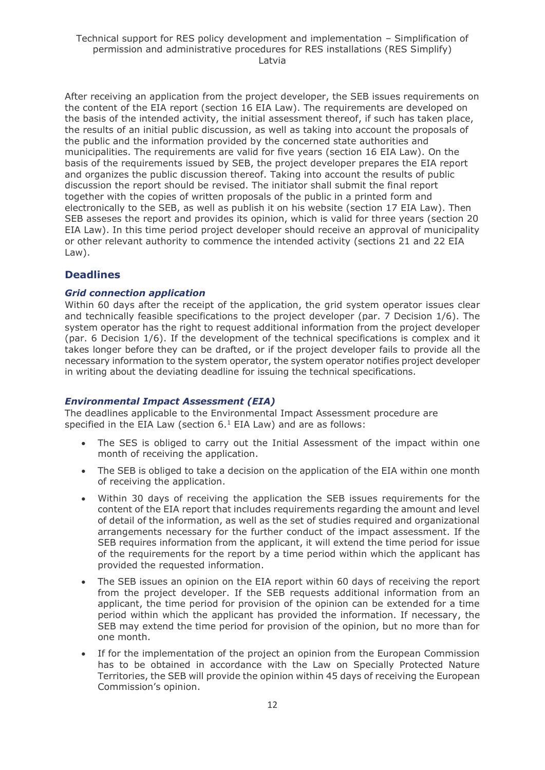After receiving an application from the project developer, the SEB issues requirements on the content of the EIA report (section 16 EIA Law). The requirements are developed on the basis of the intended activity, the initial assessment thereof, if such has taken place, the results of an initial public discussion, as well as taking into account the proposals of the public and the information provided by the concerned state authorities and municipalities. The requirements are valid for five years (section 16 EIA Law). On the basis of the requirements issued by SEB, the project developer prepares the EIA report and organizes the public discussion thereof. Taking into account the results of public discussion the report should be revised. The initiator shall submit the final report together with the copies of written proposals of the public in a printed form and electronically to the SEB, as well as publish it on his website (section 17 EIA Law). Then SEB asseses the report and provides its opinion, which is valid for three years (section 20 EIA Law). In this time period project developer should receive an approval of municipality or other relevant authority to commence the intended activity (sections 21 and 22 EIA Law).

### **Deadlines**

#### *Grid connection application*

Within 60 days after the receipt of the application, the grid system operator issues clear and technically feasible specifications to the project developer (par. 7 Decision 1/6). The system operator has the right to request additional information from the project developer (par. 6 Decision 1/6). If the development of the technical specifications is complex and it takes longer before they can be drafted, or if the project developer fails to provide all the necessary information to the system operator, the system operator notifies project developer in writing about the deviating deadline for issuing the technical specifications.

#### *Environmental Impact Assessment (EIA)*

The deadlines applicable to the Environmental Impact Assessment procedure are specified in the EIA Law (section  $6.<sup>1</sup>$  EIA Law) and are as follows:

- The SES is obliged to carry out the Initial Assessment of the impact within one month of receiving the application.
- The SEB is obliged to take a decision on the application of the EIA within one month of receiving the application.
- Within 30 days of receiving the application the SEB issues requirements for the content of the EIA report that includes requirements regarding the amount and level of detail of the information, as well as the set of studies required and organizational arrangements necessary for the further conduct of the impact assessment. If the SEB requires information from the applicant, it will extend the time period for issue of the requirements for the report by a time period within which the applicant has provided the requested information.
- The SEB issues an opinion on the EIA report within 60 days of receiving the report from the project developer. If the SEB requests additional information from an applicant, the time period for provision of the opinion can be extended for a time period within which the applicant has provided the information. If necessary, the SEB may extend the time period for provision of the opinion, but no more than for one month.
- If for the implementation of the project an opinion from the European Commission has to be obtained in accordance with the Law on Specially Protected Nature Territories, the SEB will provide the opinion within 45 days of receiving the European Commission's opinion.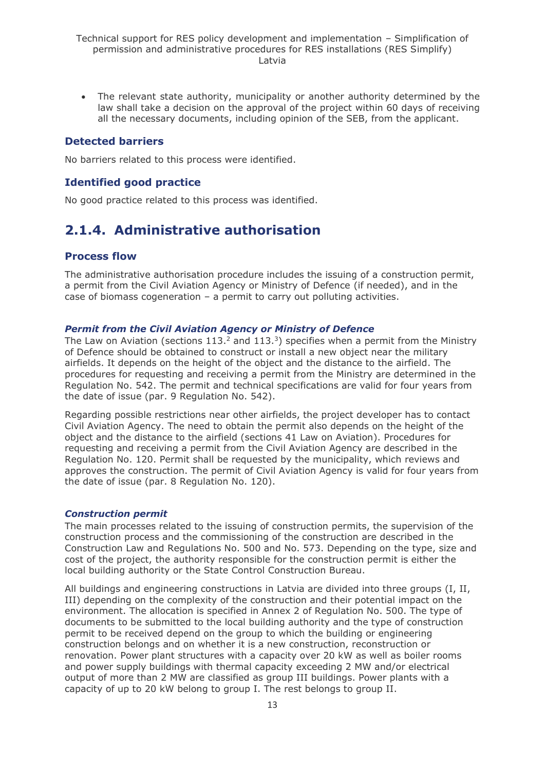• The relevant state authority, municipality or another authority determined by the law shall take a decision on the approval of the project within 60 days of receiving all the necessary documents, including opinion of the SEB, from the applicant.

#### **Detected barriers**

No barriers related to this process were identified.

#### **Identified good practice**

No good practice related to this process was identified.

## <span id="page-12-0"></span>**2.1.4. Administrative authorisation**

#### **Process flow**

The administrative authorisation procedure includes the issuing of a construction permit, a permit from the Civil Aviation Agency or Ministry of Defence (if needed), and in the case of biomass cogeneration – a permit to carry out polluting activities.

#### *Permit from the Civil Aviation Agency or Ministry of Defence*

The Law on Aviation (sections  $113.<sup>2</sup>$  and  $113.<sup>3</sup>$ ) specifies when a permit from the Ministry of Defence should be obtained to construct or install a new object near the military airfields. It depends on the height of the object and the distance to the airfield. The procedures for requesting and receiving a permit from the Ministry are determined in the Regulation No. 542. The permit and technical specifications are valid for four years from the date of issue (par. 9 Regulation No. 542).

Regarding possible restrictions near other airfields, the project developer has to contact Civil Aviation Agency. The need to obtain the permit also depends on the height of the object and the distance to the airfield (sections 41 Law on Aviation). Procedures for requesting and receiving a permit from the Civil Aviation Agency are described in the Regulation No. 120. Permit shall be requested by the municipality, which reviews and approves the construction. The permit of Civil Aviation Agency is valid for four years from the date of issue (par. 8 Regulation No. 120).

#### *Construction permit*

The main processes related to the issuing of construction permits, the supervision of the construction process and the commissioning of the construction are described in the Construction Law and Regulations No. 500 and No. 573. Depending on the type, size and cost of the project, the authority responsible for the construction permit is either the local building authority or the State Control Construction Bureau.

All buildings and engineering constructions in Latvia are divided into three groups (I, II, III) depending on the complexity of the construction and their potential impact on the environment. The allocation is specified in Annex 2 of Regulation No. 500. The type of documents to be submitted to the local building authority and the type of construction permit to be received depend on the group to which the building or engineering construction belongs and on whether it is a new construction, reconstruction or renovation. Power plant structures with a capacity over 20 kW as well as boiler rooms and power supply buildings with thermal capacity exceeding 2 MW and/or electrical output of more than 2 MW are classified as group III buildings. Power plants with a capacity of up to 20 kW belong to group I. The rest belongs to group II.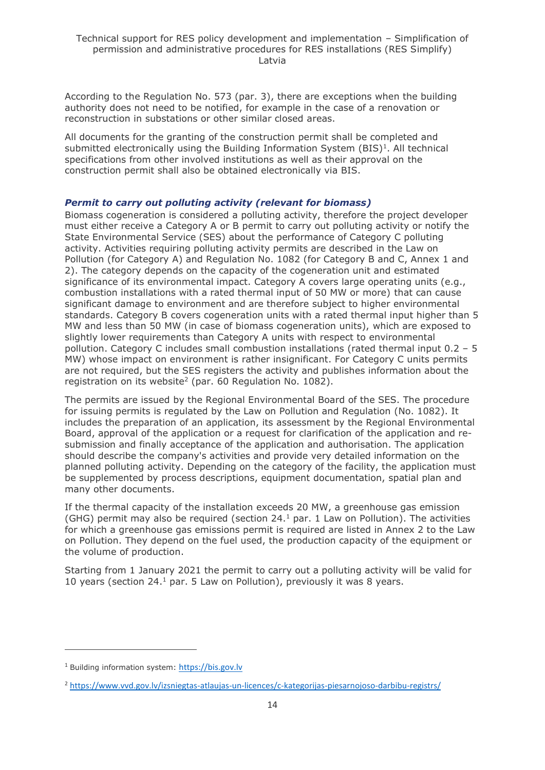According to the Regulation No. 573 (par. 3), there are exceptions when the building authority does not need to be notified, for example in the case of a renovation or reconstruction in substations or other similar closed areas.

All documents for the granting of the construction permit shall be completed and submitted electronically using the Building Information System  $(BIS)^1$ . All technical specifications from other involved institutions as well as their approval on the construction permit shall also be obtained electronically via BIS.

#### *Permit to carry out polluting activity (relevant for biomass)*

Biomass cogeneration is considered a polluting activity, therefore the project developer must either receive a Category A or B permit to carry out polluting activity or notify the State Environmental Service (SES) about the performance of Category C polluting activity. Activities requiring polluting activity permits are described in the Law on Pollution (for Category A) and Regulation No. 1082 (for Category B and C, Annex 1 and 2). The category depends on the capacity of the cogeneration unit and estimated significance of its environmental impact. Category A covers large operating units (e.g., combustion installations with a rated thermal input of 50 MW or more) that can cause significant damage to environment and are therefore subject to higher environmental standards. Category B covers cogeneration units with a rated thermal input higher than 5 MW and less than 50 MW (in case of biomass cogeneration units), which are exposed to slightly lower requirements than Category A units with respect to environmental pollution. Category C includes small combustion installations (rated thermal input 0.2 – 5 MW) whose impact on environment is rather insignificant. For Category C units permits are not required, but the SES registers the activity and publishes information about the registration on its website<sup>2</sup> (par. 60 Regulation No. 1082).

The permits are issued by the Regional Environmental Board of the SES. The procedure for issuing permits is regulated by the Law on Pollution and Regulation (No. 1082). It includes the preparation of an application, its assessment by the Regional Environmental Board, approval of the application or a request for clarification of the application and resubmission and finally acceptance of the application and authorisation. The application should describe the company's activities and provide very detailed information on the planned polluting activity. Depending on the category of the facility, the application must be supplemented by process descriptions, equipment documentation, spatial plan and many other documents.

If the thermal capacity of the installation exceeds 20 MW, a greenhouse gas emission (GHG) permit may also be required (section  $24<sup>1</sup>$  par. 1 Law on Pollution). The activities for which a greenhouse gas emissions permit is required are listed in Annex 2 to the Law on Pollution. They depend on the fuel used, the production capacity of the equipment or the volume of production.

Starting from 1 January 2021 the permit to carry out a polluting activity will be valid for 10 years (section  $24.1$  par. 5 Law on Pollution), previously it was 8 years.

<sup>1</sup> Building information system: [https://bis.gov.lv](https://bis.gov.lv/)

<sup>2</sup> <https://www.vvd.gov.lv/izsniegtas-atlaujas-un-licences/c-kategorijas-piesarnojoso-darbibu-registrs/>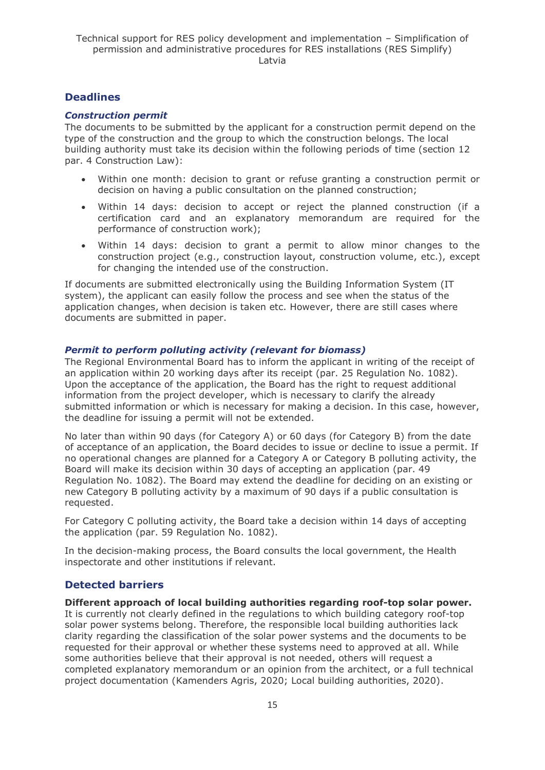### **Deadlines**

#### *Construction permit*

The documents to be submitted by the applicant for a construction permit depend on the type of the construction and the group to which the construction belongs. The local building authority must take its decision within the following periods of time (section 12 par. 4 Construction Law):

- Within one month: decision to grant or refuse granting a construction permit or decision on having a public consultation on the planned construction;
- Within 14 days: decision to accept or reject the planned construction (if a certification card and an explanatory memorandum are required for the performance of construction work);
- Within 14 days: decision to grant a permit to allow minor changes to the construction project (e.g., construction layout, construction volume, etc.), except for changing the intended use of the construction.

If documents are submitted electronically using the Building Information System (IT system), the applicant can easily follow the process and see when the status of the application changes, when decision is taken etc. However, there are still cases where documents are submitted in paper.

#### *Permit to perform polluting activity (relevant for biomass)*

The Regional Environmental Board has to inform the applicant in writing of the receipt of an application within 20 working days after its receipt (par. 25 Regulation No. 1082). Upon the acceptance of the application, the Board has the right to request additional information from the project developer, which is necessary to clarify the already submitted information or which is necessary for making a decision. In this case, however, the deadline for issuing a permit will not be extended.

No later than within 90 days (for Category A) or 60 days (for Category B) from the date of acceptance of an application, the Board decides to issue or decline to issue a permit. If no operational changes are planned for a Category A or Category B polluting activity, the Board will make its decision within 30 days of accepting an application (par. 49 Regulation No. 1082). The Board may extend the deadline for deciding on an existing or new Category B polluting activity by a maximum of 90 days if a public consultation is requested.

For Category C polluting activity, the Board take a decision within 14 days of accepting the application (par. 59 Regulation No. 1082).

In the decision-making process, the Board consults the local government, the Health inspectorate and other institutions if relevant.

### **Detected barriers**

**Different approach of local building authorities regarding roof-top solar power.**

It is currently not clearly defined in the regulations to which building category roof-top solar power systems belong. Therefore, the responsible local building authorities lack clarity regarding the classification of the solar power systems and the documents to be requested for their approval or whether these systems need to approved at all. While some authorities believe that their approval is not needed, others will request a completed explanatory memorandum or an opinion from the architect, or a full technical project documentation (Kamenders Agris, 2020; Local building authorities, 2020).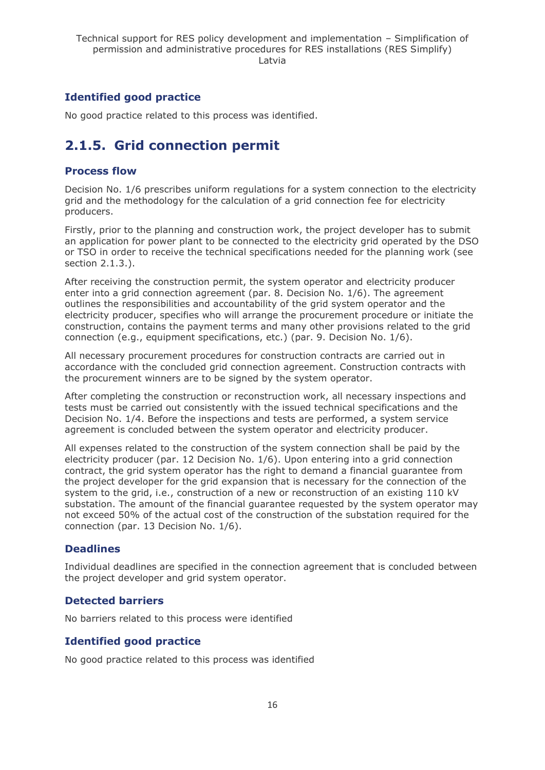### **Identified good practice**

No good practice related to this process was identified.

## <span id="page-15-0"></span>**2.1.5. Grid connection permit**

### **Process flow**

Decision No. 1/6 prescribes uniform regulations for a system connection to the electricity grid and the methodology for the calculation of a grid connection fee for electricity producers.

Firstly, prior to the planning and construction work, the project developer has to submit an application for power plant to be connected to the electricity grid operated by the DSO or TSO in order to receive the technical specifications needed for the planning work (see section 2.1.3.).

After receiving the construction permit, the system operator and electricity producer enter into a grid connection agreement (par. 8. Decision No. 1/6). The agreement outlines the responsibilities and accountability of the grid system operator and the electricity producer, specifies who will arrange the procurement procedure or initiate the construction, contains the payment terms and many other provisions related to the grid connection (e.g., equipment specifications, etc.) (par. 9. Decision No. 1/6).

All necessary procurement procedures for construction contracts are carried out in accordance with the concluded grid connection agreement. Construction contracts with the procurement winners are to be signed by the system operator.

After completing the construction or reconstruction work, all necessary inspections and tests must be carried out consistently with the issued technical specifications and the Decision No. 1/4. Before the inspections and tests are performed, a system service agreement is concluded between the system operator and electricity producer.

All expenses related to the construction of the system connection shall be paid by the electricity producer (par. 12 Decision No. 1/6). Upon entering into a grid connection contract, the grid system operator has the right to demand a financial guarantee from the project developer for the grid expansion that is necessary for the connection of the system to the grid, i.e., construction of a new or reconstruction of an existing 110 kV substation. The amount of the financial guarantee requested by the system operator may not exceed 50% of the actual cost of the construction of the substation required for the connection (par. 13 Decision No. 1/6).

### **Deadlines**

Individual deadlines are specified in the connection agreement that is concluded between the project developer and grid system operator.

### **Detected barriers**

No barriers related to this process were identified

### **Identified good practice**

No good practice related to this process was identified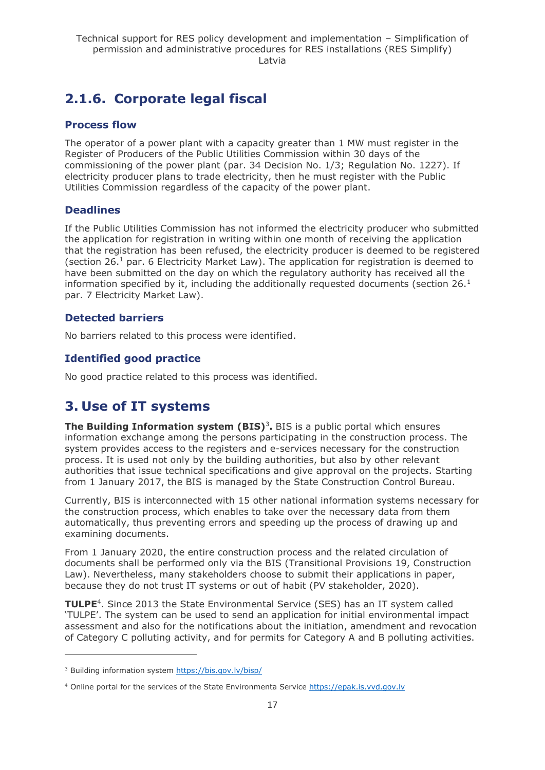## <span id="page-16-0"></span>**2.1.6. Corporate legal fiscal**

### **Process flow**

The operator of a power plant with a capacity greater than 1 MW must register in the Register of Producers of the Public Utilities Commission within 30 days of the commissioning of the power plant (par. 34 Decision No. 1/3; Regulation No. 1227). If electricity producer plans to trade electricity, then he must register with the Public Utilities Commission regardless of the capacity of the power plant.

### **Deadlines**

If the Public Utilities Commission has not informed the electricity producer who submitted the application for registration in writing within one month of receiving the application that the registration has been refused, the electricity producer is deemed to be registered (section 26.<sup>1</sup> par. 6 Electricity Market Law). The application for registration is deemed to have been submitted on the day on which the regulatory authority has received all the information specified by it, including the additionally requested documents (section  $26<sup>1</sup>$ par. 7 Electricity Market Law).

### **Detected barriers**

No barriers related to this process were identified.

### **Identified good practice**

No good practice related to this process was identified.

## <span id="page-16-1"></span>**3. Use of IT systems**

**The Building Information system (BIS)<sup>3</sup>.** BIS is a public portal which ensures information exchange among the persons participating in the construction process. The system provides access to the registers and e-services necessary for the construction process. It is used not only by the building authorities, but also by other relevant authorities that issue technical specifications and give approval on the projects. Starting from 1 January 2017, the BIS is managed by the State Construction Control Bureau.

Currently, BIS is interconnected with 15 other national information systems necessary for the construction process, which enables to take over the necessary data from them automatically, thus preventing errors and speeding up the process of drawing up and examining documents.

From 1 January 2020, the entire construction process and the related circulation of documents shall be performed only via the BIS (Transitional Provisions 19, Construction Law). Nevertheless, many stakeholders choose to submit their applications in paper, because they do not trust IT systems or out of habit (PV stakeholder, 2020).

TULPE<sup>4</sup>. Since 2013 the State Environmental Service (SES) has an IT system called 'TULPE'. The system can be used to send an application for initial environmental impact assessment and also for the notifications about the initiation, amendment and revocation of Category C polluting activity, and for permits for Category A and B polluting activities.

<sup>&</sup>lt;sup>3</sup> Building information system<https://bis.gov.lv/bisp/>

<sup>4</sup> Online portal for the services of the State Environmenta Service [https://epak.is.vvd.gov.lv](https://epak.is.vvd.gov.lv/)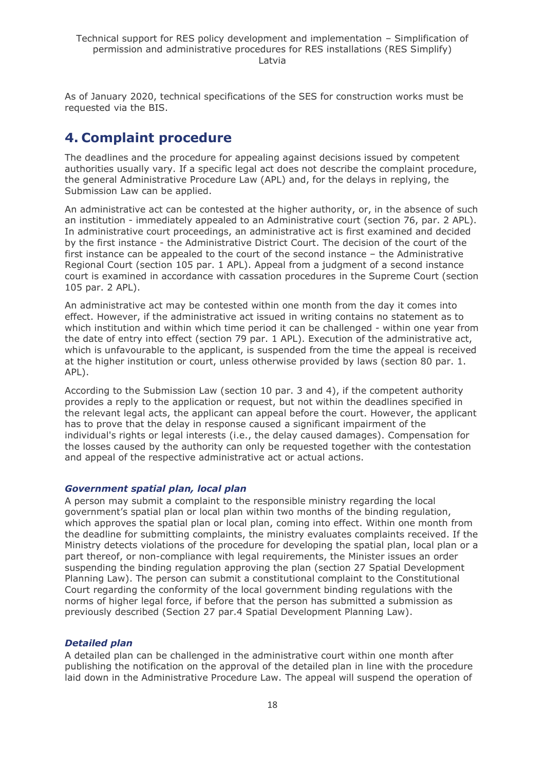As of January 2020, technical specifications of the SES for construction works must be requested via the BIS.

## <span id="page-17-0"></span>**4. Complaint procedure**

The deadlines and the procedure for appealing against decisions issued by competent authorities usually vary. If a specific legal act does not describe the complaint procedure, the general Administrative Procedure Law (APL) and, for the delays in replying, the Submission Law can be applied.

An administrative act can be contested at the higher authority, or, in the absence of such an institution - immediately appealed to an Administrative court (section 76, par. 2 APL). In administrative court proceedings, an administrative act is first examined and decided by the first instance - the Administrative District Court. The decision of the court of the first instance can be appealed to the court of the second instance – the Administrative Regional Court (section 105 par. 1 APL). Appeal from a judgment of a second instance court is examined in accordance with cassation procedures in the Supreme Court (section 105 par. 2 APL).

An administrative act may be contested within one month from the day it comes into effect. However, if the administrative act issued in writing contains no statement as to which institution and within which time period it can be challenged - within one year from the date of entry into effect (section 79 par. 1 APL). Execution of the administrative act, which is unfavourable to the applicant, is suspended from the time the appeal is received at the higher institution or court, unless otherwise provided by laws (section 80 par. 1. APL).

According to the Submission Law (section 10 par. 3 and 4), if the competent authority provides a reply to the application or request, but not within the deadlines specified in the relevant legal acts, the applicant can appeal before the court. However, the applicant has to prove that the delay in response caused a significant impairment of the individual's rights or legal interests (i.e., the delay caused damages). Compensation for the losses caused by the authority can only be requested together with the contestation and appeal of the respective administrative act or actual actions.

#### *Government spatial plan, local plan*

A person may submit a complaint to the responsible ministry regarding the local government's spatial plan or local plan within two months of the binding regulation, which approves the spatial plan or local plan, coming into effect. Within one month from the deadline for submitting complaints, the ministry evaluates complaints received. If the Ministry detects violations of the procedure for developing the spatial plan, local plan or a part thereof, or non-compliance with legal requirements, the Minister issues an order suspending the binding regulation approving the plan (section 27 Spatial Development Planning Law). The person can submit a constitutional complaint to the Constitutional Court regarding the conformity of the local government binding regulations with the norms of higher legal force, if before that the person has submitted a submission as previously described (Section 27 par.4 Spatial Development Planning Law).

#### *Detailed plan*

A detailed plan can be challenged in the administrative court within one month after publishing the notification on the approval of the detailed plan in line with the procedure laid down in the Administrative Procedure Law. The appeal will suspend the operation of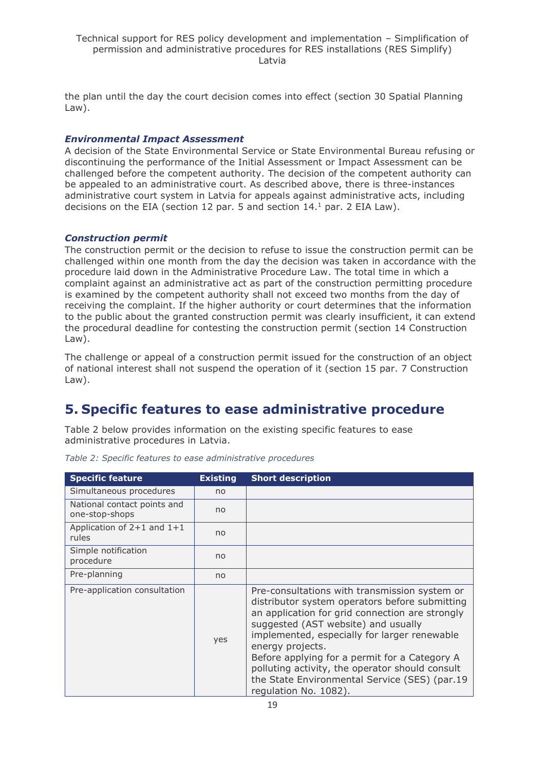the plan until the day the court decision comes into effect (section 30 Spatial Planning Law).

#### *Environmental Impact Assessment*

A decision of the State Environmental Service or State Environmental Bureau refusing or discontinuing the performance of the Initial Assessment or Impact Assessment can be challenged before the competent authority. The decision of the competent authority can be appealed to an administrative court. As described above, there is three-instances administrative court system in Latvia for appeals against administrative acts, including decisions on the EIA (section 12 par. 5 and section  $14<sup>1</sup>$  par. 2 EIA Law).

#### *Construction permit*

The construction permit or the decision to refuse to issue the construction permit can be challenged within one month from the day the decision was taken in accordance with the procedure laid down in the Administrative Procedure Law. The total time in which a complaint against an administrative act as part of the construction permitting procedure is examined by the competent authority shall not exceed two months from the day of receiving the complaint. If the higher authority or court determines that the information to the public about the granted construction permit was clearly insufficient, it can extend the procedural deadline for contesting the construction permit (section 14 Construction Law).

The challenge or appeal of a construction permit issued for the construction of an object of national interest shall not suspend the operation of it (section 15 par. 7 Construction Law).

## <span id="page-18-0"></span>**5. Specific features to ease administrative procedure**

Table 2 below provides information on the existing specific features to ease administrative procedures in Latvia.

| <b>Specific feature</b>                       | <b>Existing</b> | <b>Short description</b>                                                                                                                                                                                                                                                                                                                                                                                                                    |
|-----------------------------------------------|-----------------|---------------------------------------------------------------------------------------------------------------------------------------------------------------------------------------------------------------------------------------------------------------------------------------------------------------------------------------------------------------------------------------------------------------------------------------------|
| Simultaneous procedures                       | no              |                                                                                                                                                                                                                                                                                                                                                                                                                                             |
| National contact points and<br>one-stop-shops | no              |                                                                                                                                                                                                                                                                                                                                                                                                                                             |
| Application of $2+1$ and $1+1$<br>rules       | no              |                                                                                                                                                                                                                                                                                                                                                                                                                                             |
| Simple notification<br>procedure              | no              |                                                                                                                                                                                                                                                                                                                                                                                                                                             |
| Pre-planning                                  | no              |                                                                                                                                                                                                                                                                                                                                                                                                                                             |
| Pre-application consultation                  | yes             | Pre-consultations with transmission system or<br>distributor system operators before submitting<br>an application for grid connection are strongly<br>suggested (AST website) and usually<br>implemented, especially for larger renewable<br>energy projects.<br>Before applying for a permit for a Category A<br>polluting activity, the operator should consult<br>the State Environmental Service (SES) (par.19<br>regulation No. 1082). |

*Table 2: Specific features to ease administrative procedures*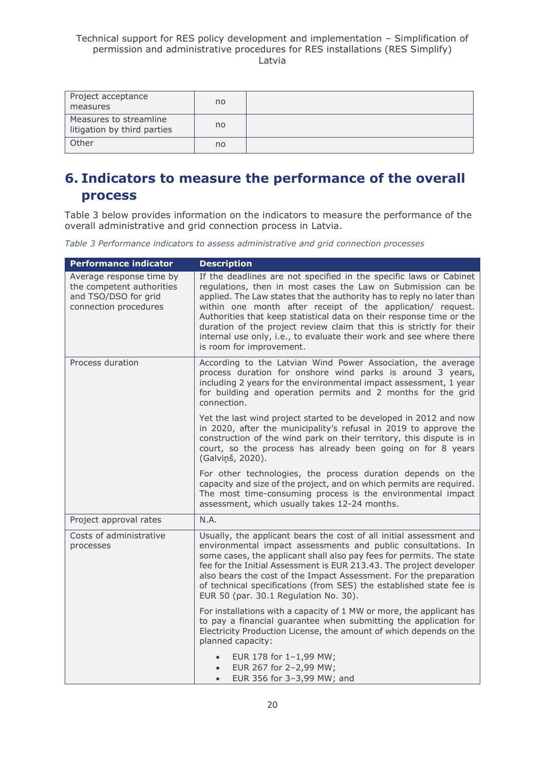| Project acceptance<br>measures                        | no |  |
|-------------------------------------------------------|----|--|
| Measures to streamline<br>litigation by third parties | no |  |
| Other                                                 | no |  |

## <span id="page-19-0"></span>**6. Indicators to measure the performance of the overall process**

Table 3 below provides information on the indicators to measure the performance of the overall administrative and grid connection process in Latvia.

*Table 3 Performance indicators to assess administrative and grid connection processes*

| <b>Performance indicator</b>                                                                           | <b>Description</b>                                                                                                                                                                                                                                                                                                                                                                                                                                                                                                            |
|--------------------------------------------------------------------------------------------------------|-------------------------------------------------------------------------------------------------------------------------------------------------------------------------------------------------------------------------------------------------------------------------------------------------------------------------------------------------------------------------------------------------------------------------------------------------------------------------------------------------------------------------------|
| Average response time by<br>the competent authorities<br>and TSO/DSO for grid<br>connection procedures | If the deadlines are not specified in the specific laws or Cabinet<br>regulations, then in most cases the Law on Submission can be<br>applied. The Law states that the authority has to reply no later than<br>within one month after receipt of the application/ request.<br>Authorities that keep statistical data on their response time or the<br>duration of the project review claim that this is strictly for their<br>internal use only, i.e., to evaluate their work and see where there<br>is room for improvement. |
| Process duration                                                                                       | According to the Latvian Wind Power Association, the average<br>process duration for onshore wind parks is around 3 years,<br>including 2 years for the environmental impact assessment, 1 year<br>for building and operation permits and 2 months for the grid<br>connection.                                                                                                                                                                                                                                                |
|                                                                                                        | Yet the last wind project started to be developed in 2012 and now<br>in 2020, after the municipality's refusal in 2019 to approve the<br>construction of the wind park on their territory, this dispute is in<br>court, so the process has already been going on for 8 years<br>(Galviņš, 2020).                                                                                                                                                                                                                              |
|                                                                                                        | For other technologies, the process duration depends on the<br>capacity and size of the project, and on which permits are required.<br>The most time-consuming process is the environmental impact<br>assessment, which usually takes 12-24 months.                                                                                                                                                                                                                                                                           |
| Project approval rates                                                                                 | N.A.                                                                                                                                                                                                                                                                                                                                                                                                                                                                                                                          |
| Costs of administrative<br>processes                                                                   | Usually, the applicant bears the cost of all initial assessment and<br>environmental impact assessments and public consultations. In<br>some cases, the applicant shall also pay fees for permits. The state<br>fee for the Initial Assessment is EUR 213.43. The project developer<br>also bears the cost of the Impact Assessment. For the preparation<br>of technical specifications (from SES) the established state fee is<br>EUR 50 (par. 30.1 Regulation No. 30).                                                      |
|                                                                                                        | For installations with a capacity of 1 MW or more, the applicant has<br>to pay a financial quarantee when submitting the application for<br>Electricity Production License, the amount of which depends on the<br>planned capacity:                                                                                                                                                                                                                                                                                           |
|                                                                                                        | EUR 178 for 1-1,99 MW;<br>EUR 267 for 2-2,99 MW;<br>EUR 356 for 3-3,99 MW; and                                                                                                                                                                                                                                                                                                                                                                                                                                                |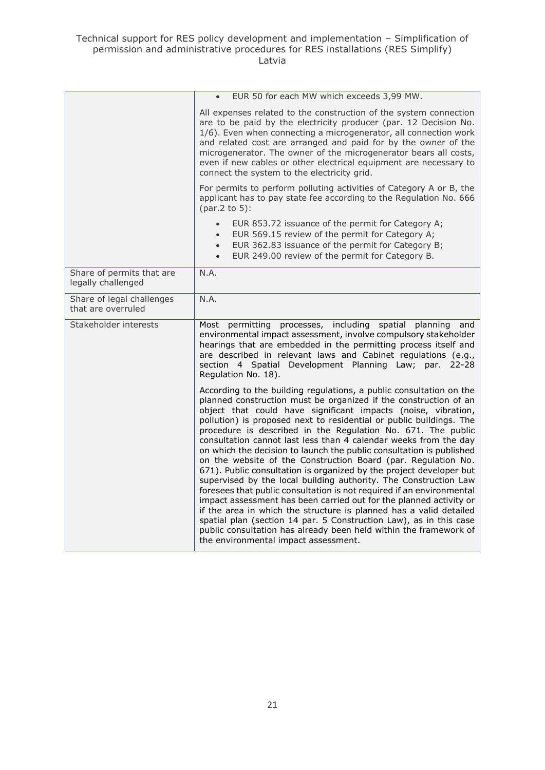|                                                 | EUR 50 for each MW which exceeds 3,99 MW.<br>$\bullet$                                                                                                                                                                                                                                                                                                                                                                                                                                                                                                                                                                                                                                                                                                                                                                                                                                                                                                                                                                                                                                                          |
|-------------------------------------------------|-----------------------------------------------------------------------------------------------------------------------------------------------------------------------------------------------------------------------------------------------------------------------------------------------------------------------------------------------------------------------------------------------------------------------------------------------------------------------------------------------------------------------------------------------------------------------------------------------------------------------------------------------------------------------------------------------------------------------------------------------------------------------------------------------------------------------------------------------------------------------------------------------------------------------------------------------------------------------------------------------------------------------------------------------------------------------------------------------------------------|
|                                                 | All expenses related to the construction of the system connection<br>are to be paid by the electricity producer (par. 12 Decision No.<br>1/6). Even when connecting a microgenerator, all connection work<br>and related cost are arranged and paid for by the owner of the<br>microgenerator. The owner of the microgenerator bears all costs,<br>even if new cables or other electrical equipment are necessary to<br>connect the system to the electricity grid.                                                                                                                                                                                                                                                                                                                                                                                                                                                                                                                                                                                                                                             |
|                                                 | For permits to perform polluting activities of Category A or B, the<br>applicant has to pay state fee according to the Regulation No. 666<br>(par.2 to 5):                                                                                                                                                                                                                                                                                                                                                                                                                                                                                                                                                                                                                                                                                                                                                                                                                                                                                                                                                      |
|                                                 | EUR 853.72 issuance of the permit for Category A;<br>$\bullet$<br>EUR 569.15 review of the permit for Category A;<br>$\bullet$<br>EUR 362.83 issuance of the permit for Category B;<br>$\bullet$<br>EUR 249.00 review of the permit for Category B.<br>$\bullet$                                                                                                                                                                                                                                                                                                                                                                                                                                                                                                                                                                                                                                                                                                                                                                                                                                                |
| Share of permits that are<br>legally challenged | N.A.                                                                                                                                                                                                                                                                                                                                                                                                                                                                                                                                                                                                                                                                                                                                                                                                                                                                                                                                                                                                                                                                                                            |
| Share of legal challenges<br>that are overruled | N.A.                                                                                                                                                                                                                                                                                                                                                                                                                                                                                                                                                                                                                                                                                                                                                                                                                                                                                                                                                                                                                                                                                                            |
| Stakeholder interests                           | Most permitting<br>processes, including spatial planning<br>and<br>environmental impact assessment, involve compulsory stakeholder<br>hearings that are embedded in the permitting process itself and<br>are described in relevant laws and Cabinet regulations (e.g.,<br>section 4 Spatial Development Planning Law; par.<br>$22 - 28$<br>Regulation No. 18).                                                                                                                                                                                                                                                                                                                                                                                                                                                                                                                                                                                                                                                                                                                                                  |
|                                                 | According to the building regulations, a public consultation on the<br>planned construction must be organized if the construction of an<br>object that could have significant impacts (noise, vibration,<br>pollution) is proposed next to residential or public buildings. The<br>procedure is described in the Regulation No. 671. The public<br>consultation cannot last less than 4 calendar weeks from the day<br>on which the decision to launch the public consultation is published<br>on the website of the Construction Board (par. Regulation No.<br>671). Public consultation is organized by the project developer but<br>supervised by the local building authority. The Construction Law<br>foresees that public consultation is not required if an environmental<br>impact assessment has been carried out for the planned activity or<br>if the area in which the structure is planned has a valid detailed<br>spatial plan (section 14 par. 5 Construction Law), as in this case<br>public consultation has already been held within the framework of<br>the environmental impact assessment. |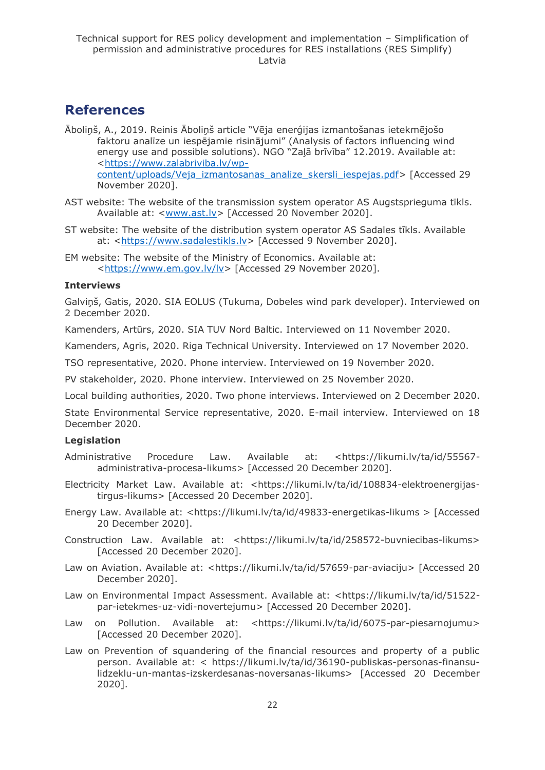### <span id="page-21-0"></span>**References**

- Āboliņš, A., 2019. Reinis Āboliņš article "Vēja enerģijas izmantošanas ietekmējošo faktoru analīze un iespējamie risinājumi" (Analysis of factors influencing wind energy use and possible solutions). NGO "Zaļā brīvība" 12.2019. Available at: [<https://www.zalabriviba.lv/wp](https://www.zalabriviba.lv/wp-content/uploads/Veja_izmantosanas_analize_skersli_iespejas.pdf)[content/uploads/Veja\\_izmantosanas\\_analize\\_skersli\\_iespejas.pdf>](https://www.zalabriviba.lv/wp-content/uploads/Veja_izmantosanas_analize_skersli_iespejas.pdf) [Accessed 29 November 2020].
- AST website: The website of the transmission system operator AS Augstsprieguma tīkls. Available at: <www.ast.ly> [Accessed 20 November 2020].
- ST website: The website of the distribution system operator AS Sadales tīkls. Available at: [<https://www.sadalestikls.lv>](https://www.sadalestikls.lv/) [Accessed 9 November 2020].
- EM website: The website of the Ministry of Economics. Available at: [<https://www.em.gov.lv/lv>](https://www.em.gov.lv/lv) [Accessed 29 November 2020].

#### **Interviews**

Galviņš, Gatis, 2020. SIA EOLUS (Tukuma, Dobeles wind park developer). Interviewed on 2 December 2020.

Kamenders, Artūrs, 2020. SIA TUV Nord Baltic. Interviewed on 11 November 2020.

Kamenders, Agris, 2020. Riga Technical University. Interviewed on 17 November 2020.

TSO representative, 2020. Phone interview. Interviewed on 19 November 2020.

PV stakeholder, 2020. Phone interview. Interviewed on 25 November 2020.

Local building authorities, 2020. Two phone interviews. Interviewed on 2 December 2020.

State Environmental Service representative, 2020. E-mail interview. Interviewed on 18 December 2020.

#### **Legislation**

- Administrative Procedure Law. Available at: <https://likumi.lv/ta/id/55567 administrativa-procesa-likums> [Accessed 20 December 2020].
- Electricity Market Law. Available at: <https://likumi.lv/ta/id/108834-elektroenergijastirgus-likums> [Accessed 20 December 2020].
- Energy Law. Available at: <https://likumi.lv/ta/id/49833-energetikas-likums > [Accessed 20 December 2020].
- Construction Law. Available at: <https://likumi.lv/ta/id/258572-buvniecibas-likums> [Accessed 20 December 2020].
- Law on Aviation. Available at: <https://likumi.lv/ta/id/57659-par-aviaciju> [Accessed 20 December 2020].
- Law on Environmental Impact Assessment. Available at: <https://likumi.lv/ta/id/51522 par-ietekmes-uz-vidi-novertejumu> [Accessed 20 December 2020].
- Law on Pollution. Available at: <https://likumi.lv/ta/id/6075-par-piesarnojumu> [Accessed 20 December 2020].
- Law on Prevention of squandering of the financial resources and property of a public person. Available at: < https://likumi.lv/ta/id/36190-publiskas-personas-finansulidzeklu-un-mantas-izskerdesanas-noversanas-likums> [Accessed 20 December 2020].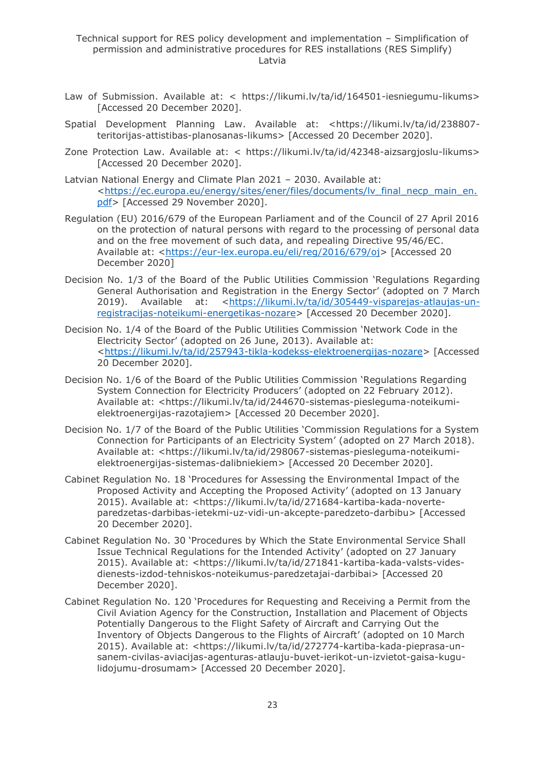- Law of Submission. Available at: < https://likumi.lv/ta/id/164501-iesniegumu-likums> [Accessed 20 December 2020].
- Spatial Development Planning Law. Available at: <https://likumi.lv/ta/id/238807 teritorijas-attistibas-planosanas-likums> [Accessed 20 December 2020].
- Zone Protection Law. Available at: < https://likumi.lv/ta/id/42348-aizsargjoslu-likums> [Accessed 20 December 2020].
- Latvian National Energy and Climate Plan 2021 2030. Available at: [<https://ec.europa.eu/energy/sites/ener/files/documents/lv\\_final\\_necp\\_main\\_en.](https://ec.europa.eu/energy/sites/ener/files/documents/lv_final_necp_main_en.pdf) [pdf>](https://ec.europa.eu/energy/sites/ener/files/documents/lv_final_necp_main_en.pdf) [Accessed 29 November 2020].
- Regulation (EU) 2016/679 of the European Parliament and of the Council of 27 April 2016 on the protection of natural persons with regard to the processing of personal data and on the free movement of such data, and repealing Directive 95/46/EC. Available at: [<https://eur-lex.europa.eu/eli/reg/2016/679/oj>](https://eur-lex.europa.eu/eli/reg/2016/679/oj) [Accessed 20 December 2020]
- Decision No. 1/3 of the Board of the Public Utilities Commission 'Regulations Regarding General Authorisation and Registration in the Energy Sector' (adopted on 7 March 2019). Available at: [<https://likumi.lv/ta/id/305449-visparejas-atlaujas-un](https://likumi.lv/ta/id/305449-visparejas-atlaujas-un-registracijas-noteikumi-energetikas-nozare)[registracijas-noteikumi-energetikas-nozare>](https://likumi.lv/ta/id/305449-visparejas-atlaujas-un-registracijas-noteikumi-energetikas-nozare) [Accessed 20 December 2020].
- Decision No. 1/4 of the Board of the Public Utilities Commission 'Network Code in the Electricity Sector' (adopted on 26 June, 2013). Available at: [<https://likumi.lv/ta/id/257943-tikla-kodekss-elektroenergijas-nozare>](https://likumi.lv/ta/id/257943-tikla-kodekss-elektroenergijas-nozare) [Accessed 20 December 2020].
- Decision No. 1/6 of the Board of the Public Utilities Commission 'Regulations Regarding System Connection for Electricity Producers' (adopted on 22 February 2012). Available at: <https://likumi.lv/ta/id/244670-sistemas-piesleguma-noteikumielektroenergijas-razotajiem> [Accessed 20 December 2020].
- Decision No. 1/7 of the Board of the Public Utilities 'Commission Regulations for a System Connection for Participants of an Electricity System' (adopted on 27 March 2018). Available at: <https://likumi.lv/ta/id/298067-sistemas-piesleguma-noteikumielektroenergijas-sistemas-dalibniekiem> [Accessed 20 December 2020].
- Cabinet Regulation No. 18 'Procedures for Assessing the Environmental Impact of the Proposed Activity and Accepting the Proposed Activity' (adopted on 13 January 2015). Available at: <https://likumi.lv/ta/id/271684-kartiba-kada-noverteparedzetas-darbibas-ietekmi-uz-vidi-un-akcepte-paredzeto-darbibu> [Accessed 20 December 2020].
- Cabinet Regulation No. 30 'Procedures by Which the State Environmental Service Shall Issue Technical Regulations for the Intended Activity' (adopted on 27 January 2015). Available at: <https://likumi.lv/ta/id/271841-kartiba-kada-valsts-videsdienests-izdod-tehniskos-noteikumus-paredzetajai-darbibai> [Accessed 20 December 2020].
- Cabinet Regulation No. 120 'Procedures for Requesting and Receiving a Permit from the Civil Aviation Agency for the Construction, Installation and Placement of Objects Potentially Dangerous to the Flight Safety of Aircraft and Carrying Out the Inventory of Objects Dangerous to the Flights of Aircraft' (adopted on 10 March 2015). Available at: <https://likumi.lv/ta/id/272774-kartiba-kada-pieprasa-unsanem-civilas-aviacijas-agenturas-atlauju-buvet-ierikot-un-izvietot-gaisa-kugulidojumu-drosumam> [Accessed 20 December 2020].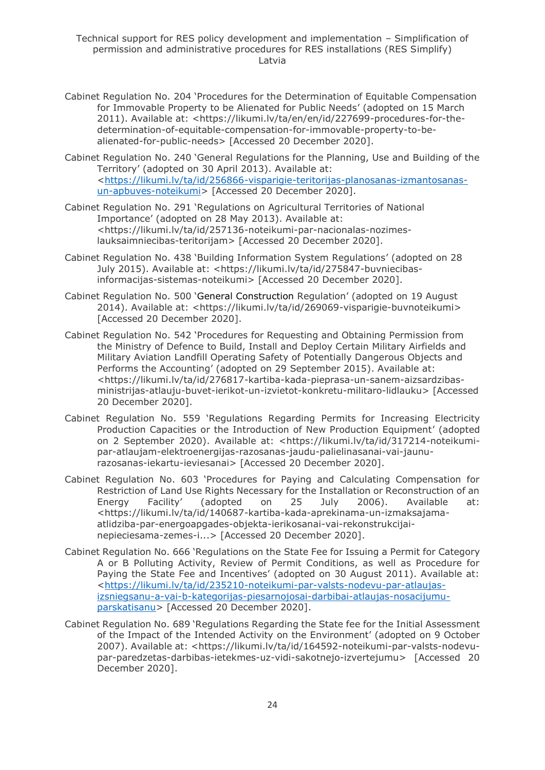Technical support for RES policy development and implementation – Simplification of permission and administrative procedures for RES installations (RES Simplify) Latvia

- Cabinet Regulation No. 204 'Procedures for the Determination of Equitable Compensation for Immovable Property to be Alienated for Public Needs' (adopted on 15 March 2011). Available at: <https://likumi.lv/ta/en/en/id/227699-procedures-for-thedetermination-of-equitable-compensation-for-immovable-property-to-bealienated-for-public-needs> [Accessed 20 December 2020].
- Cabinet Regulation No. 240 'General Regulations for the Planning, Use and Building of the Territory' (adopted on 30 April 2013). Available at: [<https://likumi.lv/ta/id/256866-visparigie-teritorijas-planosanas-izmantosanas](https://likumi.lv/ta/id/256866-visparigie-teritorijas-planosanas-izmantosanas-un-apbuves-noteikumi)[un-apbuves-noteikumi>](https://likumi.lv/ta/id/256866-visparigie-teritorijas-planosanas-izmantosanas-un-apbuves-noteikumi) [Accessed 20 December 2020].
- Cabinet Regulation No. 291 'Regulations on Agricultural Territories of National Importance' (adopted on 28 May 2013). Available at: <https://likumi.lv/ta/id/257136-noteikumi-par-nacionalas-nozimeslauksaimniecibas-teritorijam> [Accessed 20 December 2020].
- Cabinet Regulation No. 438 'Building Information System Regulations' (adopted on 28 July 2015). Available at: <https://likumi.lv/ta/id/275847-buvniecibasinformacijas-sistemas-noteikumi> [Accessed 20 December 2020].
- Cabinet Regulation No. 500 'General Construction Regulation' (adopted on 19 August 2014). Available at: <https://likumi.lv/ta/id/269069-visparigie-buvnoteikumi> [Accessed 20 December 2020].
- Cabinet Regulation No. 542 'Procedures for Requesting and Obtaining Permission from the Ministry of Defence to Build, Install and Deploy Certain Military Airfields and Military Aviation Landfill Operating Safety of Potentially Dangerous Objects and Performs the Accounting' (adopted on 29 September 2015). Available at: <https://likumi.lv/ta/id/276817-kartiba-kada-pieprasa-un-sanem-aizsardzibasministrijas-atlauju-buvet-ierikot-un-izvietot-konkretu-militaro-lidlauku> [Accessed 20 December 2020].
- Cabinet Regulation No. 559 'Regulations Regarding Permits for Increasing Electricity Production Capacities or the Introduction of New Production Equipment' (adopted on 2 September 2020). Available at: <https://likumi.lv/ta/id/317214-noteikumipar-atlaujam-elektroenergijas-razosanas-jaudu-palielinasanai-vai-jaunurazosanas-iekartu-ieviesanai> [Accessed 20 December 2020].
- Cabinet Regulation No. 603 'Procedures for Paying and Calculating Compensation for Restriction of Land Use Rights Necessary for the Installation or Reconstruction of an Energy Facility' (adopted on 25 July 2006). Available at: <https://likumi.lv/ta/id/140687-kartiba-kada-aprekinama-un-izmaksajamaatlidziba-par-energoapgades-objekta-ierikosanai-vai-rekonstrukcijainepieciesama-zemes-i...> [Accessed 20 December 2020].
- Cabinet Regulation No. 666 'Regulations on the State Fee for Issuing a Permit for Category A or B Polluting Activity, Review of Permit Conditions, as well as Procedure for Paying the State Fee and Incentives' (adopted on 30 August 2011). Available at: [<https://likumi.lv/ta/id/235210-noteikumi-par-valsts-nodevu-par-atlaujas](https://likumi.lv/ta/id/235210-noteikumi-par-valsts-nodevu-par-atlaujas-izsniegsanu-a-vai-b-kategorijas-piesarnojosai-darbibai-atlaujas-nosacijumu-parskatisanu)[izsniegsanu-a-vai-b-kategorijas-piesarnojosai-darbibai-atlaujas-nosacijumu](https://likumi.lv/ta/id/235210-noteikumi-par-valsts-nodevu-par-atlaujas-izsniegsanu-a-vai-b-kategorijas-piesarnojosai-darbibai-atlaujas-nosacijumu-parskatisanu)[parskatisanu>](https://likumi.lv/ta/id/235210-noteikumi-par-valsts-nodevu-par-atlaujas-izsniegsanu-a-vai-b-kategorijas-piesarnojosai-darbibai-atlaujas-nosacijumu-parskatisanu) [Accessed 20 December 2020].
- Cabinet Regulation No. 689 'Regulations Regarding the State fee for the Initial Assessment of the Impact of the Intended Activity on the Environment' (adopted on 9 October 2007). Available at: <https://likumi.lv/ta/id/164592-noteikumi-par-valsts-nodevupar-paredzetas-darbibas-ietekmes-uz-vidi-sakotnejo-izvertejumu> [Accessed 20 December 2020].